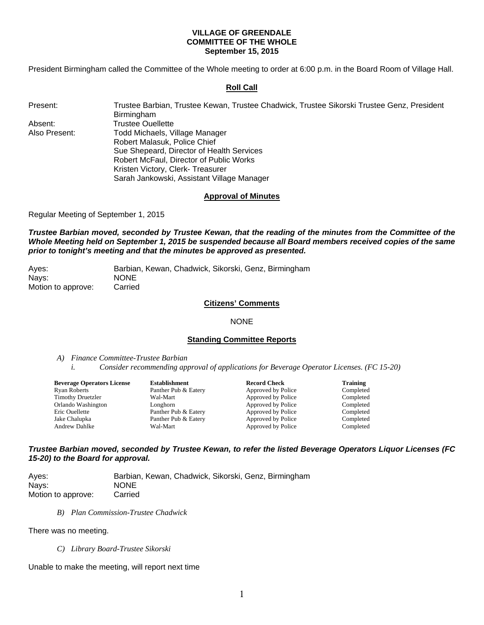### **VILLAGE OF GREENDALE COMMITTEE OF THE WHOLE September 15, 2015**

President Birmingham called the Committee of the Whole meeting to order at 6:00 p.m. in the Board Room of Village Hall.

### **Roll Call**

| Present |
|---------|
|         |

Present: Trustee Barbian, Trustee Kewan, Trustee Chadwick, Trustee Sikorski Trustee Genz, President Birmingham Absent: Trustee Ouellette Also Present: Todd Michaels, Village Manager Robert Malasuk, Police Chief Sue Shepeard, Director of Health Services Robert McFaul, Director of Public Works Kristen Victory, Clerk- Treasurer Sarah Jankowski, Assistant Village Manager

## **Approval of Minutes**

Regular Meeting of September 1, 2015

*Trustee Barbian moved, seconded by Trustee Kewan, that the reading of the minutes from the Committee of the Whole Meeting held on September 1, 2015 be suspended because all Board members received copies of the same prior to tonight's meeting and that the minutes be approved as presented.* 

| Aves:              | Barbian, Kewan, Chadwick, Sikorski, Genz, Birmingham |
|--------------------|------------------------------------------------------|
| Nays:              | <b>NONE</b>                                          |
| Motion to approve: | Carried                                              |

# **Citizens' Comments**

#### NONE

#### **Standing Committee Reports**

*A) Finance Committee-Trustee Barbian* 

*i. Consider recommending approval of applications for Beverage Operator Licenses. (FC 15-20)* 

| Establishment        | <b>Record Check</b> | <b>Training</b> |
|----------------------|---------------------|-----------------|
| Panther Pub & Eatery | Approved by Police  | Completed       |
| Wal-Mart             | Approved by Police  | Completed       |
| Longhorn             | Approved by Police  | Completed       |
| Panther Pub & Eatery | Approved by Police  | Completed       |
| Panther Pub & Eatery | Approved by Police  | Completed       |
| Wal-Mart             | Approved by Police  | Completed       |
|                      |                     |                 |

*Trustee Barbian moved, seconded by Trustee Kewan, to refer the listed Beverage Operators Liquor Licenses (FC 15-20) to the Board for approval.* 

Ayes: Barbian, Kewan, Chadwick, Sikorski, Genz, Birmingham Nays: NONE Motion to approve: Carried

*B) Plan Commission-Trustee Chadwick* 

There was no meeting.

*C) Library Board-Trustee Sikorski* 

Unable to make the meeting, will report next time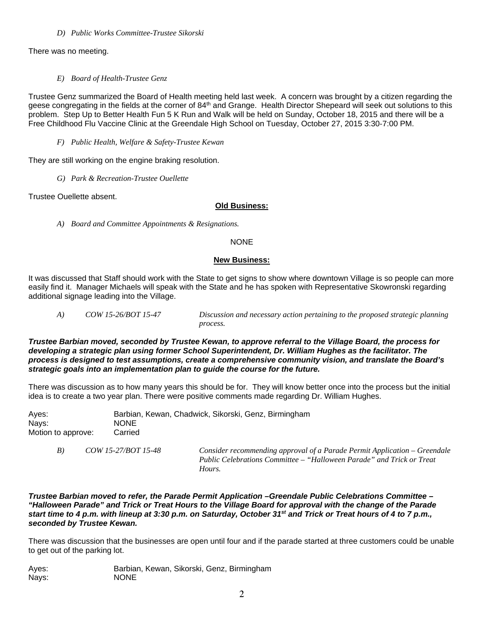*D) Public Works Committee-Trustee Sikorski* 

There was no meeting.

*E) Board of Health-Trustee Genz* 

Trustee Genz summarized the Board of Health meeting held last week. A concern was brought by a citizen regarding the geese congregating in the fields at the corner of 84<sup>th</sup> and Grange. Health Director Shepeard will seek out solutions to this problem. Step Up to Better Health Fun 5 K Run and Walk will be held on Sunday, October 18, 2015 and there will be a Free Childhood Flu Vaccine Clinic at the Greendale High School on Tuesday, October 27, 2015 3:30‐7:00 PM.

*F) Public Health, Welfare & Safety-Trustee Kewan* 

They are still working on the engine braking resolution.

*G) Park & Recreation-Trustee Ouellette* 

Trustee Ouellette absent.

## **Old Business:**

*A) Board and Committee Appointments & Resignations.* 

## **NONE**

## **New Business:**

It was discussed that Staff should work with the State to get signs to show where downtown Village is so people can more easily find it. Manager Michaels will speak with the State and he has spoken with Representative Skowronski regarding additional signage leading into the Village.

 *A) COW 15-26/BOT 15-47 Discussion and necessary action pertaining to the proposed strategic planning process.*

*Trustee Barbian moved, seconded by Trustee Kewan, to approve referral to the Village Board, the process for developing a strategic plan using former School Superintendent, Dr. William Hughes as the facilitator. The process is designed to test assumptions, create a comprehensive community vision, and translate the Board's strategic goals into an implementation plan to guide the course for the future.* 

There was discussion as to how many years this should be for. They will know better once into the process but the initial idea is to create a two year plan. There were positive comments made regarding Dr. William Hughes.

| Aves:              |                     | Barbian, Kewan, Chadwick, Sikorski, Genz, Birmingham                                                                                               |
|--------------------|---------------------|----------------------------------------------------------------------------------------------------------------------------------------------------|
| Nays:              | <b>NONE</b>         |                                                                                                                                                    |
| Motion to approve: | Carried             |                                                                                                                                                    |
| B)                 | COW 15-27/BOT 15-48 | Consider recommending approval of a Parade Permit Application – Greendale<br>Public Celebrations Committee – "Halloween Parade" and Trick or Treat |

*Trustee Barbian moved to refer, the Parade Permit Application –Greendale Public Celebrations Committee – "Halloween Parade" and Trick or Treat Hours to the Village Board for approval with the change of the Parade start time to 4 p.m. with lineup at 3:30 p.m. on Saturday, October 31st and Trick or Treat hours of 4 to 7 p.m., seconded by Trustee Kewan.* 

There was discussion that the businesses are open until four and if the parade started at three customers could be unable to get out of the parking lot.

Ayes: Barbian, Kewan, Sikorski, Genz, Birmingham Nays: NONE

 *Hours.*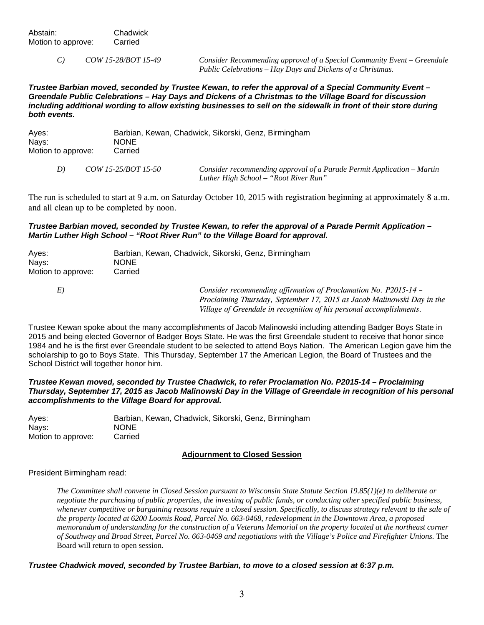*C) COW 15-28/BOT 15-49 Consider Recommending approval of a Special Community Event – Greendale Public Celebrations – Hay Days and Dickens of a Christmas.* 

*Trustee Barbian moved, seconded by Trustee Kewan, to refer the approval of a Special Community Event – Greendale Public Celebrations – Hay Days and Dickens of a Christmas to the Village Board for discussion including additional wording to allow existing businesses to sell on the sidewalk in front of their store during both events.* 

| Ayes:              | Barbian, Kewan, Chadwick, Sikorski, Genz, Birmingham |
|--------------------|------------------------------------------------------|
| Nays:              | <b>NONE</b>                                          |
| Motion to approve: | Carried                                              |

 *D) COW 15-25/BOT 15-50 Consider recommending approval of a Parade Permit Application – Martin Luther High School – "Root River Run"* 

The run is scheduled to start at 9 a.m. on Saturday October 10, 2015 with registration beginning at approximately 8 a.m. and all clean up to be completed by noon.

### *Trustee Barbian moved, seconded by Trustee Kewan, to refer the approval of a Parade Permit Application – Martin Luther High School – "Root River Run" to the Village Board for approval.*

| Ayes:              | Barbian, Kewan, Chadwick, Sikorski, Genz, Birmingham                                                                                                                                                                |
|--------------------|---------------------------------------------------------------------------------------------------------------------------------------------------------------------------------------------------------------------|
| Nays:              | <b>NONE</b>                                                                                                                                                                                                         |
| Motion to approve: | Carried                                                                                                                                                                                                             |
| E)                 | Consider recommending affirmation of Proclamation No. P2015-14 –<br>Proclaiming Thursday, September 17, 2015 as Jacob Malinowski Day in the<br>Village of Greendale in recognition of his personal accomplishments. |

Trustee Kewan spoke about the many accomplishments of Jacob Malinowski including attending Badger Boys State in 2015 and being elected Governor of Badger Boys State. He was the first Greendale student to receive that honor since 1984 and he is the first ever Greendale student to be selected to attend Boys Nation. The American Legion gave him the scholarship to go to Boys State. This Thursday, September 17 the American Legion, the Board of Trustees and the School District will together honor him.

*Trustee Kewan moved, seconded by Trustee Chadwick, to refer Proclamation No. P2015-14 – Proclaiming Thursday, September 17, 2015 as Jacob Malinowski Day in the Village of Greendale in recognition of his personal accomplishments to the Village Board for approval.* 

Ayes: Barbian, Kewan, Chadwick, Sikorski, Genz, Birmingham Nays: NONE Motion to approve: Carried

## **Adjournment to Closed Session**

### President Birmingham read:

*The Committee shall convene in Closed Session pursuant to Wisconsin State Statute Section 19.85(1)(e) to deliberate or negotiate the purchasing of public properties, the investing of public funds, or conducting other specified public business, whenever competitive or bargaining reasons require a closed session. Specifically, to discuss strategy relevant to the sale of the property located at 6200 Loomis Road, Parcel No. 663-0468, redevelopment in the Downtown Area, a proposed memorandum of understanding for the construction of a Veterans Memorial on the property located at the northeast corner of Southway and Broad Street, Parcel No. 663-0469 and negotiations with the Village's Police and Firefighter Unions.* The Board will return to open session.

### *Trustee Chadwick moved, seconded by Trustee Barbian, to move to a closed session at 6:37 p.m.*